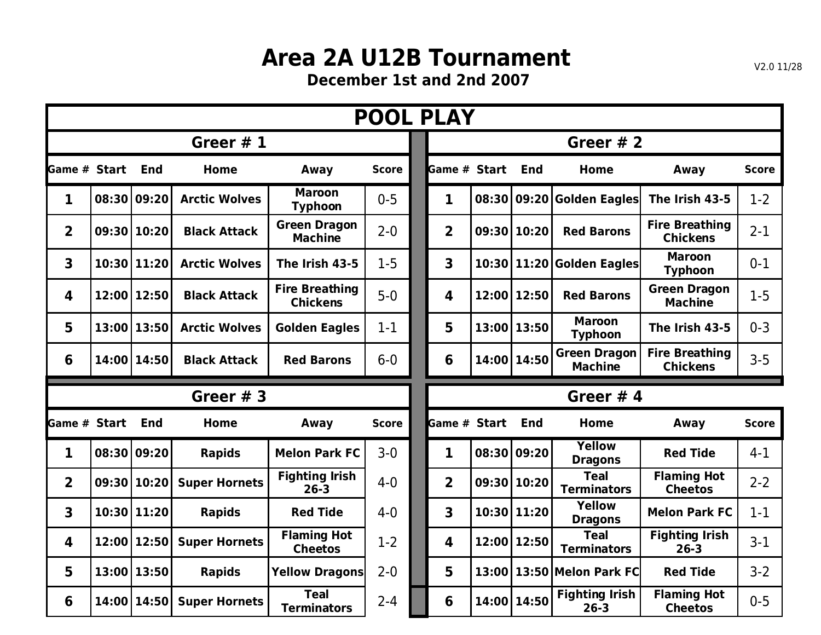## **Area 2A U12B Tournament**

**December 1st and 2nd 2007**

|                         |             |                      |                                          | <b>POOL PLAY</b> |                         |  |             |                                       |                                          |              |  |  |
|-------------------------|-------------|----------------------|------------------------------------------|------------------|-------------------------|--|-------------|---------------------------------------|------------------------------------------|--------------|--|--|
|                         |             | Greer $#1$           |                                          |                  | Greer $# 2$             |  |             |                                       |                                          |              |  |  |
| <b>Game # Start End</b> |             | <b>Home</b>          | Away                                     | <b>Score</b>     | Game # Start            |  | End         | Home                                  | Away                                     | <b>Score</b> |  |  |
| 1                       | 08:30 09:20 | <b>Arctic Wolves</b> | <b>Maroon</b><br><b>Typhoon</b>          | $0 - 5$          | 1                       |  |             | 08:30 09:20 Golden Eagles             | The Irish 43-5                           | $1-2$        |  |  |
| $\overline{2}$          | 09:30 10:20 | <b>Black Attack</b>  | <b>Green Dragon</b><br><b>Machine</b>    | $2 - 0$          | $\overline{2}$          |  | 09:30 10:20 | <b>Red Barons</b>                     | <b>Fire Breathing</b><br><b>Chickens</b> | $2 - 1$      |  |  |
| $\overline{\mathbf{3}}$ | 10:30 11:20 | <b>Arctic Wolves</b> | The Irish 43-5                           | $1 - 5$          | 3                       |  |             | 10:30 11:20 Golden Eagles             | <b>Maroon</b><br><b>Typhoon</b>          | $0 - 1$      |  |  |
| 4                       | 12:00 12:50 | <b>Black Attack</b>  | <b>Fire Breathing</b><br><b>Chickens</b> | $5-0$            | 4                       |  | 12:00 12:50 | <b>Red Barons</b>                     | <b>Green Dragon</b><br><b>Machine</b>    | $1-5$        |  |  |
| 5                       | 13:00 13:50 | <b>Arctic Wolves</b> | <b>Golden Eagles</b>                     | $1 - 1$          | 5                       |  | 13:00 13:50 | <b>Maroon</b><br><b>Typhoon</b>       | The Irish 43-5                           | $0 - 3$      |  |  |
| 6                       | 14:00 14:50 | <b>Black Attack</b>  | <b>Red Barons</b>                        | $6-0$            | 6                       |  | 14:00 14:50 | <b>Green Dragon</b><br><b>Machine</b> | <b>Fire Breathing</b><br><b>Chickens</b> | $3 - 5$      |  |  |
|                         |             |                      |                                          |                  |                         |  |             |                                       |                                          |              |  |  |
|                         |             | Greer $# 3$          |                                          |                  |                         |  |             | Greer $# 4$                           |                                          |              |  |  |
| <b>I</b> Game # Start   | <b>End</b>  | Home                 | Away                                     | <b>Score</b>     | Game # Start            |  | <b>End</b>  | <b>Home</b>                           | Away                                     | <b>Score</b> |  |  |
| $\mathbf{1}$            | 08:30 09:20 | <b>Rapids</b>        | <b>Melon Park FC</b>                     | $3 - 0$          | $\mathbf{1}$            |  | 08:30 09:20 | Yellow<br><b>Dragons</b>              | <b>Red Tide</b>                          | $4 - 1$      |  |  |
| $\overline{2}$          | 09:30 10:20 | <b>Super Hornets</b> | <b>Fighting Irish</b><br>$26 - 3$        | $4 - 0$          | $\overline{2}$          |  | 09:30 10:20 | <b>Teal</b><br><b>Terminators</b>     | <b>Flaming Hot</b><br><b>Cheetos</b>     | $2 - 2$      |  |  |
| $\overline{\mathbf{3}}$ | 10:30 11:20 | <b>Rapids</b>        | <b>Red Tide</b>                          | $4 - 0$          | $\overline{\mathbf{3}}$ |  | 10:30 11:20 | <b>Yellow</b><br><b>Dragons</b>       | <b>Melon Park FC</b>                     | $1 - 1$      |  |  |
| 4                       | 12:00 12:50 | <b>Super Hornets</b> | <b>Flaming Hot</b><br><b>Cheetos</b>     | $1 - 2$          | 4                       |  | 12:00 12:50 | <b>Teal</b><br><b>Terminators</b>     | <b>Fighting Irish</b><br>$26 - 3$        | $3 - 1$      |  |  |
| 5                       | 13:00 13:50 | <b>Rapids</b>        | <b>Yellow Dragons</b>                    | $2 - 0$          | 5                       |  |             | 13:00 13:50 Melon Park FC             | <b>Red Tide</b><br><b>Flaming Hot</b>    | $3 - 2$      |  |  |

V2.0 11/28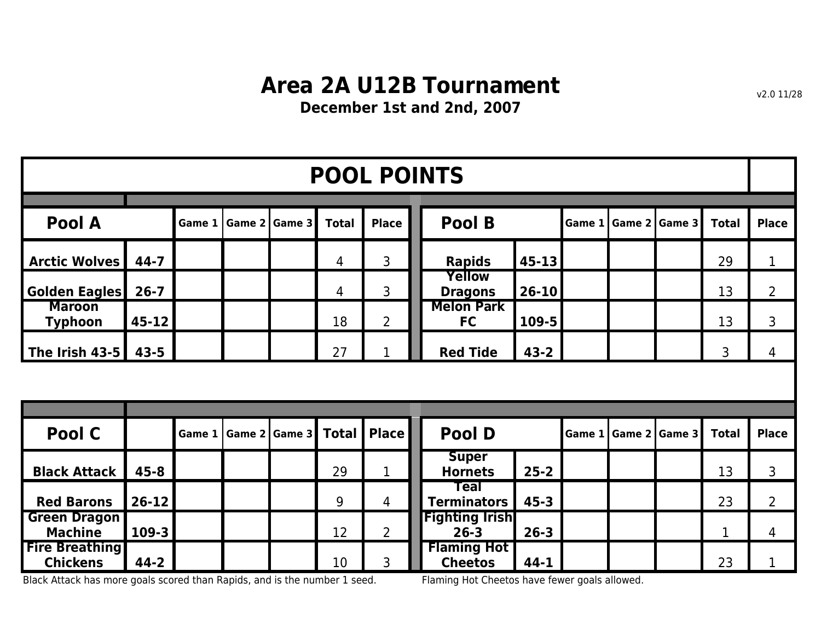## **Area 2A U12B Tournament**

**December 1st and 2nd, 2007**

|                                          | <b>POOL POINTS</b> |                                                         |  |                 |              |                |  |                                      |           |               |  |                 |              |                |
|------------------------------------------|--------------------|---------------------------------------------------------|--|-----------------|--------------|----------------|--|--------------------------------------|-----------|---------------|--|-----------------|--------------|----------------|
| Pool A                                   |                    | <b>Place</b><br>Game 2 Game 3<br><b>Total</b><br>Game 1 |  |                 |              |                |  | Pool B                               |           | Game 1        |  | Game 2   Game 3 | <b>Total</b> | <b>Place</b>   |
| <b>Arctic Wolves</b>                     | $44 - 7$           |                                                         |  |                 | 4            | 3              |  | <b>Rapids</b>                        | $45 - 13$ |               |  |                 | 29           | $\mathbf{1}$   |
| <b>Golden Eagles</b>                     | $26 - 7$           |                                                         |  |                 | 4            | 3              |  | <b>Yellow</b><br><b>Dragons</b>      | $26 - 10$ |               |  |                 | 13           | $\overline{2}$ |
| <b>Maroon</b><br><b>Typhoon</b>          | $45 - 12$          |                                                         |  |                 | 18           | $\overline{2}$ |  | <b>Melon Park</b><br><b>FC</b>       | 109-5     |               |  |                 | 13           | 3              |
| The Irish 43-5                           | $43 - 5$           |                                                         |  |                 | 27           | $\mathbf{1}$   |  | <b>Red Tide</b><br>$43 - 2$          |           |               |  |                 | 3            | 4              |
|                                          |                    |                                                         |  |                 |              |                |  |                                      |           |               |  |                 |              |                |
|                                          |                    |                                                         |  |                 |              |                |  |                                      |           |               |  |                 |              |                |
| Pool C                                   |                    | Game 1                                                  |  | Game $2$ Game 3 | <b>Total</b> | Place          |  | Pool D                               |           | <b>Game 1</b> |  | Game 2 Game 3   | <b>Total</b> | <b>Place</b>   |
| <b>Black Attack</b>                      | $45 - 8$           |                                                         |  |                 | 29           | $\mathbf 1$    |  | <b>Super</b><br><b>Hornets</b>       | $25 - 2$  |               |  |                 | 13           | 3              |
| <b>Red Barons</b>                        | $26 - 12$          |                                                         |  |                 | 9            | 4              |  | Teal<br><b>Terminators</b>           | $45 - 3$  |               |  |                 | 23           | $\overline{2}$ |
| <b>Green Dragon</b><br><b>Machine</b>    | $109 - 3$          |                                                         |  |                 | 12           | $\overline{2}$ |  | <b>Fighting Irish</b><br>$26 - 3$    | $26 - 3$  |               |  |                 | 1            | 4              |
| <b>Fire Breathing</b><br><b>Chickens</b> | $44 - 2$           |                                                         |  |                 | 10           | 3              |  | <b>Flaming Hot</b><br><b>Cheetos</b> | $44 - 1$  |               |  |                 | 23           | $\mathbf{1}$   |

Black Attack has more goals scored than Rapids, and is the number 1 seed. Flaming Hot Cheetos have fewer goals allowed.